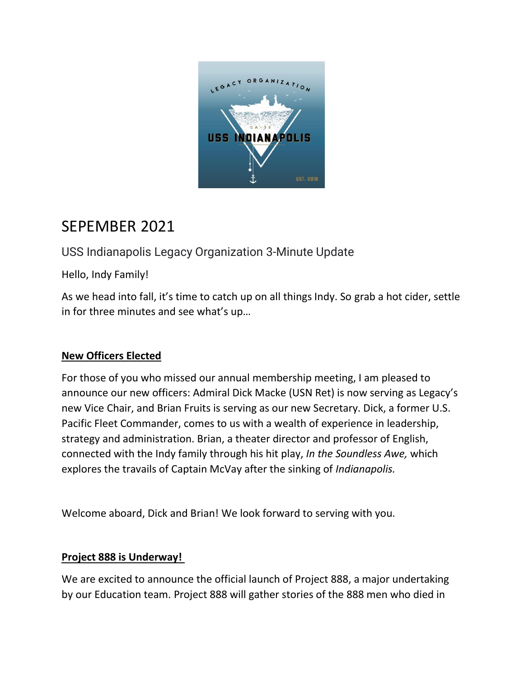

# SEPEMBER 2021

USS Indianapolis Legacy Organization 3-Minute Update

Hello, Indy Family!

As we head into fall, it's time to catch up on all things Indy. So grab a hot cider, settle in for three minutes and see what's up…

# **New Officers Elected**

For those of you who missed our annual membership meeting, I am pleased to announce our new officers: Admiral Dick Macke (USN Ret) is now serving as Legacy's new Vice Chair, and Brian Fruits is serving as our new Secretary. Dick, a former U.S. Pacific Fleet Commander, comes to us with a wealth of experience in leadership, strategy and administration. Brian, a theater director and professor of English, connected with the Indy family through his hit play, *In the Soundless Awe,* which explores the travails of Captain McVay after the sinking of *Indianapolis.*

Welcome aboard, Dick and Brian! We look forward to serving with you.

## **Project 888 is Underway!**

We are excited to announce the official launch of Project 888, a major undertaking by our Education team. Project 888 will gather stories of the 888 men who died in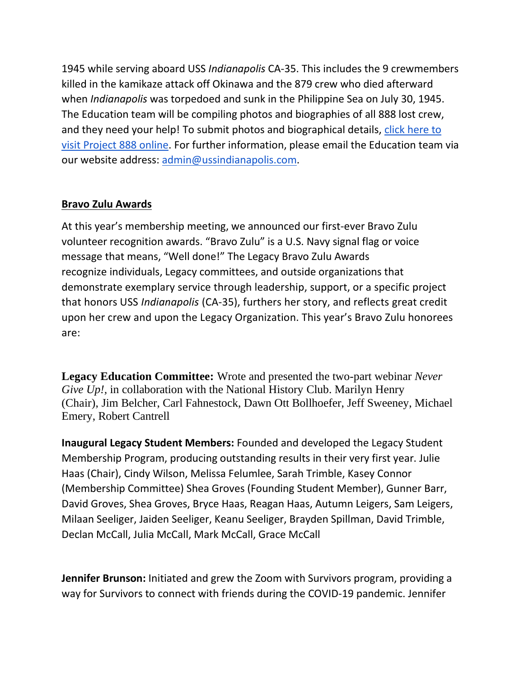1945 while serving aboard USS *Indianapolis* CA-35. This includes the 9 crewmembers killed in the kamikaze attack off Okinawa and the 879 crew who died afterward when *Indianapolis* was torpedoed and sunk in the Philippine Sea on July 30, 1945. The Education team will be compiling photos and biographies of all 888 lost crew, and they need your help! To submit photos and biographical details, [click here to](https://www.ussindianapolis.org/project-888)  [visit Project 888 online.](https://www.ussindianapolis.org/project-888) For further information, please email the Education team via our website address: [admin@ussindianapolis.com.](mailto:admin@ussindianapolis.com)

## **Bravo Zulu Awards**

At this year's membership meeting, we announced our first-ever Bravo Zulu volunteer recognition awards. "Bravo Zulu" is a U.S. Navy signal flag or voice message that means, "Well done!" The Legacy Bravo Zulu Awards recognize individuals, Legacy committees, and outside organizations that demonstrate exemplary service through leadership, support, or a specific project that honors USS *Indianapolis* (CA-35), furthers her story, and reflects great credit upon her crew and upon the Legacy Organization. This year's Bravo Zulu honorees are:

**Legacy Education Committee:** Wrote and presented the two-part webinar *Never Give Up!,* in collaboration with the National History Club. Marilyn Henry (Chair), Jim Belcher, Carl Fahnestock, Dawn Ott Bollhoefer, Jeff Sweeney, Michael Emery, Robert Cantrell

**Inaugural Legacy Student Members:** Founded and developed the Legacy Student Membership Program, producing outstanding results in their very first year. Julie Haas (Chair), Cindy Wilson, Melissa Felumlee, Sarah Trimble, Kasey Connor (Membership Committee) Shea Groves (Founding Student Member), Gunner Barr, David Groves, Shea Groves, Bryce Haas, Reagan Haas, Autumn Leigers, Sam Leigers, Milaan Seeliger, Jaiden Seeliger, Keanu Seeliger, Brayden Spillman, David Trimble, Declan McCall, Julia McCall, Mark McCall, Grace McCall

**Jennifer Brunson:** Initiated and grew the Zoom with Survivors program, providing a way for Survivors to connect with friends during the COVID-19 pandemic. Jennifer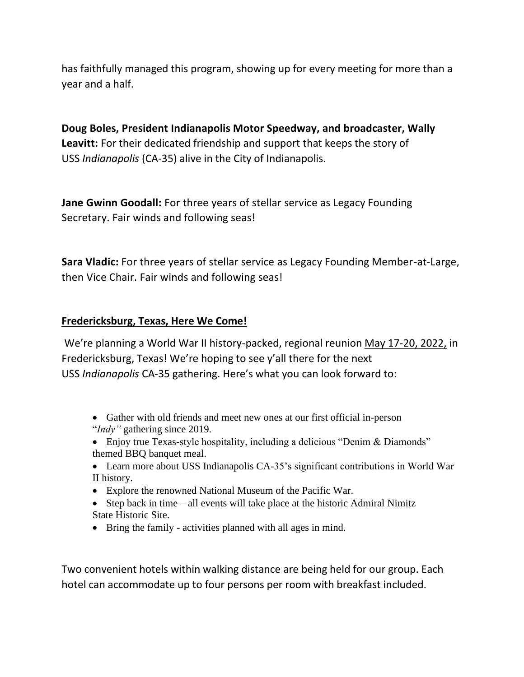has faithfully managed this program, showing up for every meeting for more than a year and a half.

**Doug Boles, President Indianapolis Motor Speedway, and broadcaster, Wally Leavitt:** For their dedicated friendship and support that keeps the story of USS *Indianapolis* (CA-35) alive in the City of Indianapolis.

**Jane Gwinn Goodall:** For three years of stellar service as Legacy Founding Secretary. Fair winds and following seas!

**Sara Vladic:** For three years of stellar service as Legacy Founding Member-at-Large, then Vice Chair. Fair winds and following seas!

#### **Fredericksburg, Texas, Here We Come!**

We're planning a World War II history-packed, regional reunion May 17-20, 2022, in Fredericksburg, Texas! We're hoping to see y'all there for the next USS *Indianapolis* CA-35 gathering. Here's what you can look forward to:

- Gather with old friends and meet new ones at our first official in-person "*Indy"* gathering since 2019.
- Enjoy true Texas-style hospitality, including a delicious "Denim & Diamonds" themed BBQ banquet meal.
- Learn more about USS Indianapolis CA-35's significant contributions in World War II history.
- Explore the renowned National Museum of the Pacific War.
- Step back in time all events will take place at the historic Admiral Nimitz State Historic Site.
- Bring the family activities planned with all ages in mind.

Two convenient hotels within walking distance are being held for our group. Each hotel can accommodate up to four persons per room with breakfast included.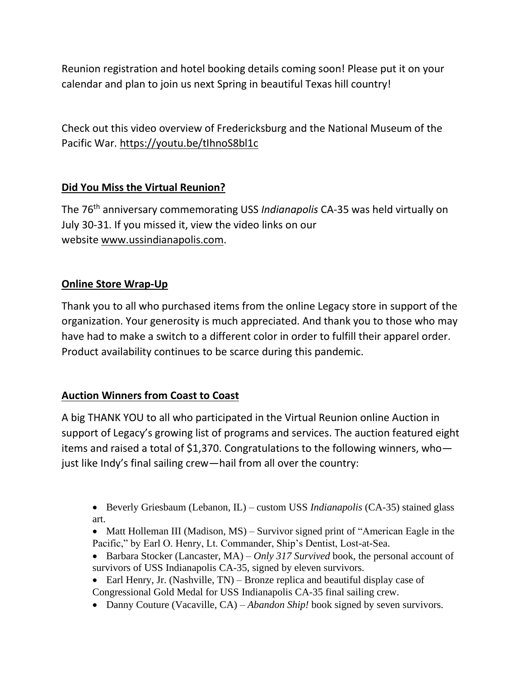Reunion registration and hotel booking details coming soon! Please put it on your calendar and plan to join us next Spring in beautiful Texas hill country!

Check out this video overview of Fredericksburg and the National Museum of the Pacific War. <https://youtu.be/tIhnoS8bl1c>

## **Did You Miss the Virtual Reunion?**

The 76th anniversary commemorating USS *Indianapolis* CA-35 was held virtually on July 30-31. If you missed it, view the video links on our website [www.ussindianapolis.com.](http://www.ussindianapolis.com/)

## **Online Store Wrap-Up**

Thank you to all who purchased items from the online Legacy store in support of the organization. Your generosity is much appreciated. And thank you to those who may have had to make a switch to a different color in order to fulfill their apparel order. Product availability continues to be scarce during this pandemic.

## **Auction Winners from Coast to Coast**

A big THANK YOU to all who participated in the Virtual Reunion online Auction in support of Legacy's growing list of programs and services. The auction featured eight items and raised a total of \$1,370. Congratulations to the following winners, who just like Indy's final sailing crew—hail from all over the country:

- Beverly Griesbaum (Lebanon, IL) custom USS *Indianapolis* (CA-35) stained glass art.
- Matt Holleman III (Madison, MS) Survivor signed print of "American Eagle in the Pacific," by Earl O. Henry, Lt. Commander, Ship's Dentist, Lost-at-Sea.
- Barbara Stocker (Lancaster, MA) *Only 317 Survived* book, the personal account of survivors of USS Indianapolis CA-35, signed by eleven survivors.
- Earl Henry, Jr. (Nashville, TN) Bronze replica and beautiful display case of Congressional Gold Medal for USS Indianapolis CA-35 final sailing crew.
- Danny Couture (Vacaville, CA) *Abandon Ship!* book signed by seven survivors.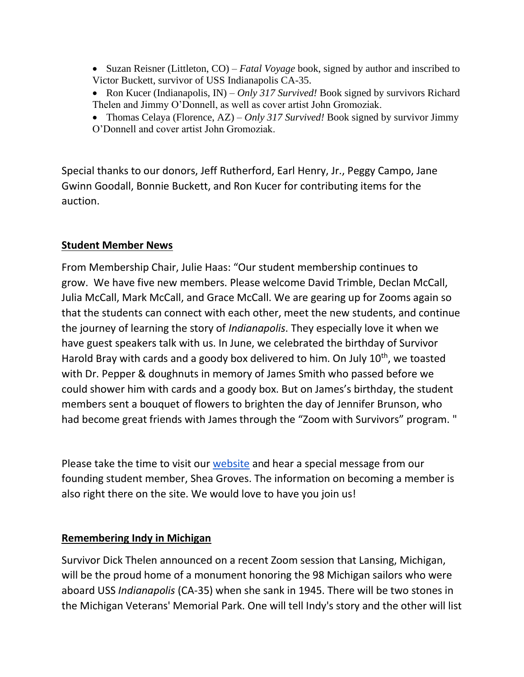- Suzan Reisner (Littleton, CO) *Fatal Voyage* book, signed by author and inscribed to Victor Buckett, survivor of USS Indianapolis CA-35.
- Ron Kucer (Indianapolis, IN) *Only 317 Survived!* Book signed by survivors Richard Thelen and Jimmy O'Donnell, as well as cover artist John Gromoziak.
- Thomas Celaya (Florence, AZ) *Only 317 Survived!* Book signed by survivor Jimmy O'Donnell and cover artist John Gromoziak.

Special thanks to our donors, Jeff Rutherford, Earl Henry, Jr., Peggy Campo, Jane Gwinn Goodall, Bonnie Buckett, and Ron Kucer for contributing items for the auction.

## **Student Member News**

From Membership Chair, Julie Haas: "Our student membership continues to grow. We have five new members. Please welcome David Trimble, Declan McCall, Julia McCall, Mark McCall, and Grace McCall. We are gearing up for Zooms again so that the students can connect with each other, meet the new students, and continue the journey of learning the story of *Indianapolis*. They especially love it when we have guest speakers talk with us. In June, we celebrated the birthday of Survivor Harold Bray with cards and a goody box delivered to him. On July 10<sup>th</sup>, we toasted with Dr. Pepper & doughnuts in memory of James Smith who passed before we could shower him with cards and a goody box. But on James's birthday, the student members sent a bouquet of flowers to brighten the day of Jennifer Brunson, who had become great friends with James through the "Zoom with Survivors" program. "

Please take the time to visit our [website](https://www.ussindianapolis.com/student-membership) and hear a special message from our founding student member, Shea Groves. The information on becoming a member is also right there on the site. We would love to have you join us!

#### **Remembering Indy in Michigan**

Survivor Dick Thelen announced on a recent Zoom session that Lansing, Michigan, will be the proud home of a monument honoring the 98 Michigan sailors who were aboard USS *Indianapolis* (CA-35) when she sank in 1945. There will be two stones in the Michigan Veterans' Memorial Park. One will tell Indy's story and the other will list